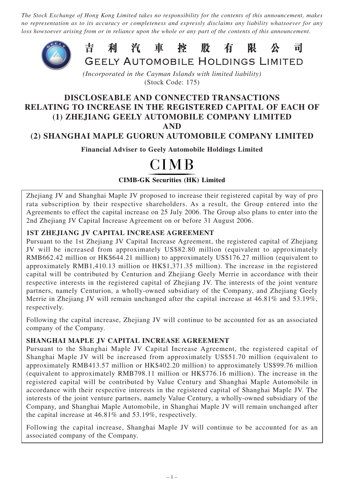*The Stock Exchange of Hong Kong Limited takes no responsibility for the contents of this announcement, makes no representation as to its accuracy or completeness and expressly disclaims any liability whatsoever for any loss howsoever arising from or in reliance upon the whole or any part of the contents of this announcement.*



*(Incorporated in the Cayman Islands with limited liability)* (Stock Code: 175)

## **DISCLOSEABLE AND CONNECTED TRANSACTIONS RELATING TO INCREASE IN THE REGISTERED CAPITAL OF EACH OF (1) ZHEJIANG GEELY AUTOMOBILE COMPANY LIMITED AND**

## **(2) SHANGHAI MAPLE GUORUN AUTOMOBILE COMPANY LIMITED**

**Financial Adviser to Geely Automobile Holdings Limited**

# **CIMB**

**CIMB-GK Securities (HK) Limited**

Zhejiang JV and Shanghai Maple JV proposed to increase their registered capital by way of pro rata subscription by their respective shareholders. As a result, the Group entered into the Agreements to effect the capital increase on 25 July 2006. The Group also plans to enter into the 2nd Zhejiang JV Capital Increase Agreement on or before 31 August 2006.

## **1ST ZHEJIANG JV CAPITAL INCREASE AGREEMENT**

Pursuant to the 1st Zhejiang JV Capital Increase Agreement, the registered capital of Zhejiang JV will be increased from approximately US\$82.80 million (equivalent to approximately RMB662.42 million or HK\$644.21 million) to approximately US\$176.27 million (equivalent to approximately RMB1,410.13 million or HK\$1,371.35 million). The increase in the registered capital will be contributed by Centurion and Zhejiang Geely Merrie in accordance with their respective interests in the registered capital of Zhejiang JV. The interests of the joint venture partners, namely Centurion, a wholly-owned subsidiary of the Company, and Zhejiang Geely Merrie in Zhejiang JV will remain unchanged after the capital increase at 46.81% and 53.19%, respectively.

Following the capital increase, Zhejiang JV will continue to be accounted for as an associated company of the Company.

#### **SHANGHAI MAPLE JV CAPITAL INCREASE AGREEMENT**

Pursuant to the Shanghai Maple JV Capital Increase Agreement, the registered capital of Shanghai Maple JV will be increased from approximately US\$51.70 million (equivalent to approximately RMB413.57 million or HK\$402.20 million) to approximately US\$99.76 million (equivalent to approximately RMB798.11 million or HK\$776.16 million). The increase in the registered capital will be contributed by Value Century and Shanghai Maple Automobile in accordance with their respective interests in the registered capital of Shanghai Maple JV. The interests of the joint venture partners, namely Value Century, a wholly-owned subsidiary of the Company, and Shanghai Maple Automobile, in Shanghai Maple JV will remain unchanged after the capital increase at 46.81% and 53.19%, respectively.

Following the capital increase, Shanghai Maple JV will continue to be accounted for as an associated company of the Company.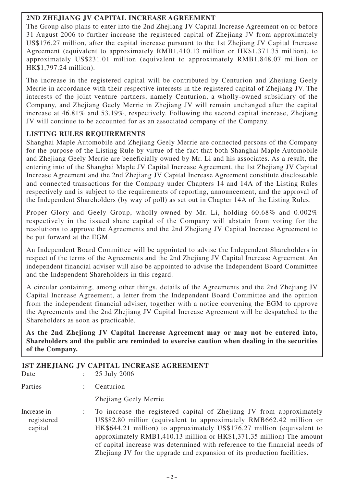## **2ND ZHEJIANG JV CAPITAL INCREASE AGREEMENT**

The Group also plans to enter into the 2nd Zhejiang JV Capital Increase Agreement on or before 31 August 2006 to further increase the registered capital of Zhejiang JV from approximately US\$176.27 million, after the capital increase pursuant to the 1st Zhejiang JV Capital Increase Agreement (equivalent to approximately RMB1,410.13 million or HK\$1,371.35 million), to approximately US\$231.01 million (equivalent to approximately RMB1,848.07 million or HK\$1,797.24 million).

The increase in the registered capital will be contributed by Centurion and Zhejiang Geely Merrie in accordance with their respective interests in the registered capital of Zhejiang JV. The interests of the joint venture partners, namely Centurion, a wholly-owned subsidiary of the Company, and Zhejiang Geely Merrie in Zhejiang JV will remain unchanged after the capital increase at 46.81% and 53.19%, respectively. Following the second capital increase, Zhejiang JV will continue to be accounted for as an associated company of the Company.

## **LISTING RULES REQUIREMENTS**

Shanghai Maple Automobile and Zhejiang Geely Merrie are connected persons of the Company for the purpose of the Listing Rule by virtue of the fact that both Shanghai Maple Automobile and Zhejiang Geely Merrie are beneficially owned by Mr. Li and his associates. As a result, the entering into of the Shanghai Maple JV Capital Increase Agreement, the 1st Zhejiang JV Capital Increase Agreement and the 2nd Zhejiang JV Capital Increase Agreement constitute discloseable and connected transactions for the Company under Chapters 14 and 14A of the Listing Rules respectively and is subject to the requirements of reporting, announcement, and the approval of the Independent Shareholders (by way of poll) as set out in Chapter 14A of the Listing Rules.

Proper Glory and Geely Group, wholly-owned by Mr. Li, holding 60.68% and 0.002% respectively in the issued share capital of the Company will abstain from voting for the resolutions to approve the Agreements and the 2nd Zhejiang JV Capital Increase Agreement to be put forward at the EGM.

An Independent Board Committee will be appointed to advise the Independent Shareholders in respect of the terms of the Agreements and the 2nd Zhejiang JV Capital Increase Agreement. An independent financial adviser will also be appointed to advise the Independent Board Committee and the Independent Shareholders in this regard.

A circular containing, among other things, details of the Agreements and the 2nd Zhejiang JV Capital Increase Agreement, a letter from the Independent Board Committee and the opinion from the independent financial adviser, together with a notice convening the EGM to approve the Agreements and the 2nd Zhejiang JV Capital Increase Agreement will be despatched to the Shareholders as soon as practicable.

**As the 2nd Zhejiang JV Capital Increase Agreement may or may not be entered into, Shareholders and the public are reminded to exercise caution when dealing in the securities of the Company.**

#### **1ST ZHEJIANG JV CAPITAL INCREASE AGREEMENT** Date : 25 July 2006

| Dav                                  | 2JJUIY 2UUU                                                                                                                                                                                                                                                                                                                                                                                                                                              |
|--------------------------------------|----------------------------------------------------------------------------------------------------------------------------------------------------------------------------------------------------------------------------------------------------------------------------------------------------------------------------------------------------------------------------------------------------------------------------------------------------------|
| Parties                              | Centurion                                                                                                                                                                                                                                                                                                                                                                                                                                                |
|                                      | <b>Zhejiang Geely Merrie</b>                                                                                                                                                                                                                                                                                                                                                                                                                             |
| Increase in<br>registered<br>capital | To increase the registered capital of Zhejiang JV from approximately<br>US\$82.80 million (equivalent to approximately RMB662.42 million or<br>HK\$644.21 million) to approximately US\$176.27 million (equivalent to<br>approximately RMB1,410.13 million or HK\$1,371.35 million) The amount<br>of capital increase was determined with reference to the financial needs of<br>Zhejiang JV for the upgrade and expansion of its production facilities. |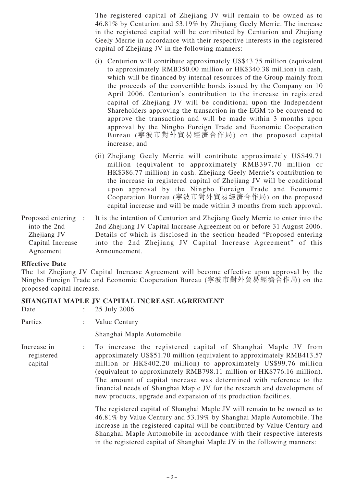The registered capital of Zhejiang JV will remain to be owned as to 46.81% by Centurion and 53.19% by Zhejiang Geely Merrie. The increase in the registered capital will be contributed by Centurion and Zhejiang Geely Merrie in accordance with their respective interests in the registered capital of Zhejiang JV in the following manners:

- (i) Centurion will contribute approximately US\$43.75 million (equivalent to approximately RMB350.00 million or HK\$340.38 million) in cash, which will be financed by internal resources of the Group mainly from the proceeds of the convertible bonds issued by the Company on 10 April 2006. Centurion's contribution to the increase in registered capital of Zhejiang JV will be conditional upon the Independent Shareholders approving the transaction in the EGM to be convened to approve the transaction and will be made within 3 months upon approval by the Ningbo Foreign Trade and Economic Cooperation Bureau (寧波市對外貿易經濟合作局) on the proposed capital increase; and
- (ii) Zhejiang Geely Merrie will contribute approximately US\$49.71 million (equivalent to approximately RMB397.70 million or HK\$386.77 million) in cash. Zhejiang Geely Merrie's contribution to the increase in registered capital of Zhejiang JV will be conditional upon approval by the Ningbo Foreign Trade and Economic Cooperation Bureau (寧波市對外貿易經濟合作局) on the proposed capital increase and will be made within 3 months from such approval.

| Proposed entering : | It is the intention of Centurion and Zhejiang Geely Merrie to enter into the |
|---------------------|------------------------------------------------------------------------------|
| into the 2nd        | 2nd Zhejiang JV Capital Increase Agreement on or before 31 August 2006.      |
| Zhejiang JV         | Details of which is disclosed in the section headed "Proposed entering"      |
| Capital Increase    | into the 2nd Zhejiang JV Capital Increase Agreement" of this                 |
| Agreement           | Announcement.                                                                |

#### **Effective Date**

The 1st Zhejiang JV Capital Increase Agreement will become effective upon approval by the Ningbo Foreign Trade and Economic Cooperation Bureau (寧波市對外貿易經濟合作局) on the proposed capital increase.

#### **SHANGHAI MAPLE JV CAPITAL INCREASE AGREEMENT**

| Date                                 | 25 July 2006                                                                                                                                                                                                                                                                                                                                                                                                                                                                                                   |
|--------------------------------------|----------------------------------------------------------------------------------------------------------------------------------------------------------------------------------------------------------------------------------------------------------------------------------------------------------------------------------------------------------------------------------------------------------------------------------------------------------------------------------------------------------------|
| Parties                              | Value Century                                                                                                                                                                                                                                                                                                                                                                                                                                                                                                  |
|                                      | Shanghai Maple Automobile                                                                                                                                                                                                                                                                                                                                                                                                                                                                                      |
| Increase in<br>registered<br>capital | To increase the registered capital of Shanghai Maple JV from<br>approximately US\$51.70 million (equivalent to approximately RMB413.57)<br>million or HK\$402.20 million) to approximately US\$99.76 million<br>(equivalent to approximately RMB798.11 million or HK\$776.16 million).<br>The amount of capital increase was determined with reference to the<br>financial needs of Shanghai Maple JV for the research and development of<br>new products, upgrade and expansion of its production facilities. |
|                                      | The registered capital of Shanghai Maple JV will remain to be owned as to<br>46.81% by Value Century and 53.19% by Shanghai Maple Automobile. The<br>increase in the registered capital will be contributed by Value Century and<br>Shanghai Maple Automobile in accordance with their respective interests<br>in the registered capital of Shanghai Maple JV in the following manners:                                                                                                                        |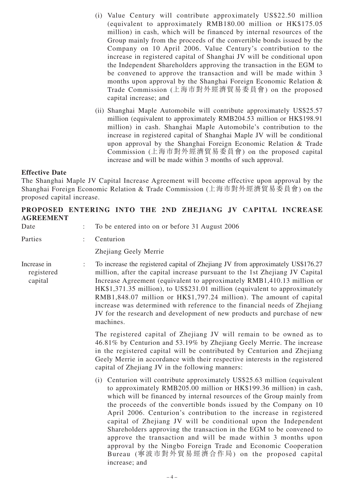- (i) Value Century will contribute approximately US\$22.50 million (equivalent to approximately RMB180.00 million or HK\$175.05 million) in cash, which will be financed by internal resources of the Group mainly from the proceeds of the convertible bonds issued by the Company on 10 April 2006. Value Century's contribution to the increase in registered capital of Shanghai JV will be conditional upon the Independent Shareholders approving the transaction in the EGM to be convened to approve the transaction and will be made within 3 months upon approval by the Shanghai Foreign Economic Relation & Trade Commission (上海市對外經濟貿易委員會) on the proposed capital increase; and
- (ii) Shanghai Maple Automobile will contribute approximately US\$25.57 million (equivalent to approximately RMB204.53 million or HK\$198.91 million) in cash. Shanghai Maple Automobile's contribution to the increase in registered capital of Shanghai Maple JV will be conditional upon approval by the Shanghai Foreign Economic Relation & Trade Commission (上海市對外經濟貿易委員會) on the proposed capital increase and will be made within 3 months of such approval.

#### **Effective Date**

The Shanghai Maple JV Capital Increase Agreement will become effective upon approval by the Shanghai Foreign Economic Relation & Trade Commission (上海市對外經濟貿易委員會) on the proposed capital increase.

|                  | PROPOSED ENTERING INTO THE 2ND ZHEJIANG JV CAPITAL INCREASE |  |  |  |  |
|------------------|-------------------------------------------------------------|--|--|--|--|
| <b>AGREEMENT</b> |                                                             |  |  |  |  |
|                  |                                                             |  |  |  |  |

| Date                                 |  | To be entered into on or before 31 August 2006                                                                                                                                                                                                                                                                                                                                                                                                                                                                                                                                                                                                                                                                    |
|--------------------------------------|--|-------------------------------------------------------------------------------------------------------------------------------------------------------------------------------------------------------------------------------------------------------------------------------------------------------------------------------------------------------------------------------------------------------------------------------------------------------------------------------------------------------------------------------------------------------------------------------------------------------------------------------------------------------------------------------------------------------------------|
| Parties                              |  | Centurion                                                                                                                                                                                                                                                                                                                                                                                                                                                                                                                                                                                                                                                                                                         |
|                                      |  | Zhejiang Geely Merrie                                                                                                                                                                                                                                                                                                                                                                                                                                                                                                                                                                                                                                                                                             |
| Increase in<br>registered<br>capital |  | To increase the registered capital of Zhejiang JV from approximately US\$176.27<br>million, after the capital increase pursuant to the 1st Zhejiang JV Capital<br>Increase Agreement (equivalent to approximately RMB1,410.13 million or<br>HK\$1,371.35 million), to US\$231.01 million (equivalent to approximately<br>RMB1,848.07 million or HK\$1,797.24 million). The amount of capital<br>increase was determined with reference to the financial needs of Zhejiang<br>JV for the research and development of new products and purchase of new<br>machines.                                                                                                                                                 |
|                                      |  | The registered capital of Zhejiang JV will remain to be owned as to<br>46.81% by Centurion and 53.19% by Zhejiang Geely Merrie. The increase<br>in the registered capital will be contributed by Centurion and Zhejiang<br>Geely Merrie in accordance with their respective interests in the registered<br>capital of Zhejiang JV in the following manners:                                                                                                                                                                                                                                                                                                                                                       |
|                                      |  | (i) Centurion will contribute approximately US\$25.63 million (equivalent<br>to approximately RMB205.00 million or HK\$199.36 million) in cash,<br>which will be financed by internal resources of the Group mainly from<br>the proceeds of the convertible bonds issued by the Company on 10<br>April 2006. Centurion's contribution to the increase in registered<br>capital of Zhejiang JV will be conditional upon the Independent<br>Shareholders approving the transaction in the EGM to be convened to<br>approve the transaction and will be made within 3 months upon<br>approval by the Ningbo Foreign Trade and Economic Cooperation<br>Bureau (寧波市對外貿易經濟合作局) on the proposed capital<br>increase; and |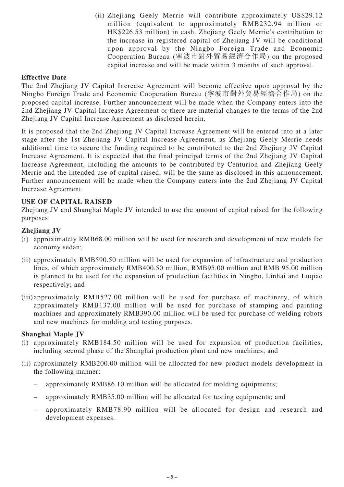(ii) Zhejiang Geely Merrie will contribute approximately US\$29.12 million (equivalent to approximately RMB232.94 million or HK\$226.53 million) in cash. Zhejiang Geely Merrie's contribution to the increase in registered capital of Zhejiang JV will be conditional upon approval by the Ningbo Foreign Trade and Economic Cooperation Bureau (寧波市對外貿易經濟合作局) on the proposed capital increase and will be made within 3 months of such approval.

## **Effective Date**

The 2nd Zhejiang JV Capital Increase Agreement will become effective upon approval by the Ningbo Foreign Trade and Economic Cooperation Bureau (寧波市對外貿易經濟合作局) on the proposed capital increase. Further announcement will be made when the Company enters into the 2nd Zhejiang JV Capital Increase Agreement or there are material changes to the terms of the 2nd Zhejiang JV Capital Increase Agreement as disclosed herein.

It is proposed that the 2nd Zhejiang JV Capital Increase Agreement will be entered into at a later stage after the 1st Zhejiang JV Capital Increase Agreement, as Zhejiang Geely Merrie needs additional time to secure the funding required to be contributed to the 2nd Zhejiang JV Capital Increase Agreement. It is expected that the final principal terms of the 2nd Zhejiang JV Capital Increase Agreement, including the amounts to be contributed by Centurion and Zhejiang Geely Merrie and the intended use of capital raised, will be the same as disclosed in this announcement. Further announcement will be made when the Company enters into the 2nd Zhejiang JV Capital Increase Agreement.

#### **USE OF CAPITAL RAISED**

Zhejiang JV and Shanghai Maple JV intended to use the amount of capital raised for the following purposes:

#### **Zhejiang JV**

- (i) approximately RMB68.00 million will be used for research and development of new models for economy sedan;
- (ii) approximately RMB590.50 million will be used for expansion of infrastructure and production lines, of which approximately RMB400.50 million, RMB95.00 million and RMB 95.00 million is planned to be used for the expansion of production facilities in Ningbo, Linhai and Luqiao respectively; and
- (iii)approximately RMB527.00 million will be used for purchase of machinery, of which approximately RMB137.00 million will be used for purchase of stamping and painting machines and approximately RMB390.00 million will be used for purchase of welding robots and new machines for molding and testing purposes.

#### **Shanghai Maple JV**

- (i) approximately RMB184.50 million will be used for expansion of production facilities, including second phase of the Shanghai production plant and new machines; and
- (ii) approximately RMB200.00 million will be allocated for new product models development in the following manner:
	- approximately RMB86.10 million will be allocated for molding equipments;
	- approximately RMB35.00 million will be allocated for testing equipments; and
	- approximately RMB78.90 million will be allocated for design and research and development expenses.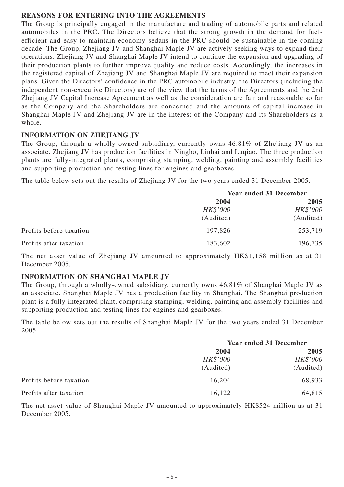#### **REASONS FOR ENTERING INTO THE AGREEMENTS**

The Group is principally engaged in the manufacture and trading of automobile parts and related automobiles in the PRC. The Directors believe that the strong growth in the demand for fuelefficient and easy-to maintain economy sedans in the PRC should be sustainable in the coming decade. The Group, Zhejiang JV and Shanghai Maple JV are actively seeking ways to expand their operations. Zhejiang JV and Shanghai Maple JV intend to continue the expansion and upgrading of their production plants to further improve quality and reduce costs. Accordingly, the increases in the registered capital of Zhejiang JV and Shanghai Maple JV are required to meet their expansion plans. Given the Directors' confidence in the PRC automobile industry, the Directors (including the independent non-executive Directors) are of the view that the terms of the Agreements and the 2nd Zhejiang JV Capital Increase Agreement as well as the consideration are fair and reasonable so far as the Company and the Shareholders are concerned and the amounts of capital increase in Shanghai Maple JV and Zhejiang JV are in the interest of the Company and its Shareholders as a whole.

#### **INFORMATION ON ZHEJIANG JV**

The Group, through a wholly-owned subsidiary, currently owns 46.81% of Zhejiang JV as an associate. Zhejiang JV has production facilities in Ningbo, Linhai and Luqiao. The three production plants are fully-integrated plants, comprising stamping, welding, painting and assembly facilities and supporting production and testing lines for engines and gearboxes.

The table below sets out the results of Zhejiang JV for the two years ended 31 December 2005.

|                         | <b>Year ended 31 December</b> |           |  |
|-------------------------|-------------------------------|-----------|--|
|                         | 2004                          | 2005      |  |
|                         | HK\$'000                      | HK\$'000  |  |
|                         | (Audited)                     | (Audited) |  |
| Profits before taxation | 197,826                       | 253,719   |  |
| Profits after taxation  | 183,602                       | 196,735   |  |

The net asset value of Zhejiang JV amounted to approximately HK\$1,158 million as at 31 December 2005.

#### **INFORMATION ON SHANGHAI MAPLE JV**

The Group, through a wholly-owned subsidiary, currently owns 46.81% of Shanghai Maple JV as an associate. Shanghai Maple JV has a production facility in Shanghai. The Shanghai production plant is a fully-integrated plant, comprising stamping, welding, painting and assembly facilities and supporting production and testing lines for engines and gearboxes.

The table below sets out the results of Shanghai Maple JV for the two years ended 31 December 2005.

|                         | <b>Year ended 31 December</b> |           |  |
|-------------------------|-------------------------------|-----------|--|
|                         | 2004                          | 2005      |  |
|                         | HK\$'000                      | HK\$'000  |  |
|                         | (Audited)                     | (Audited) |  |
| Profits before taxation | 16,204                        | 68,933    |  |
| Profits after taxation  | 16,122                        | 64,815    |  |

The net asset value of Shanghai Maple JV amounted to approximately HK\$524 million as at 31 December 2005.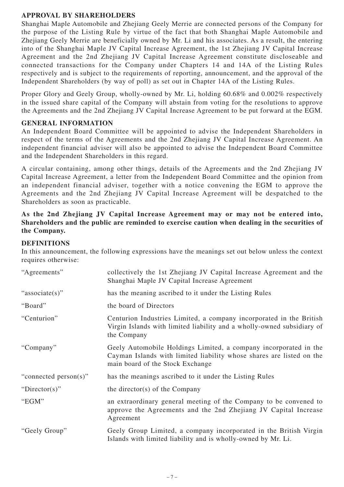## **APPROVAL BY SHAREHOLDERS**

Shanghai Maple Automobile and Zhejiang Geely Merrie are connected persons of the Company for the purpose of the Listing Rule by virtue of the fact that both Shanghai Maple Automobile and Zhejiang Geely Merrie are beneficially owned by Mr. Li and his associates. As a result, the entering into of the Shanghai Maple JV Capital Increase Agreement, the 1st Zhejiang JV Capital Increase Agreement and the 2nd Zhejiang JV Capital Increase Agreement constitute discloseable and connected transactions for the Company under Chapters 14 and 14A of the Listing Rules respectively and is subject to the requirements of reporting, announcement, and the approval of the Independent Shareholders (by way of poll) as set out in Chapter 14A of the Listing Rules.

Proper Glory and Geely Group, wholly-owned by Mr. Li, holding 60.68% and 0.002% respectively in the issued share capital of the Company will abstain from voting for the resolutions to approve the Agreements and the 2nd Zhejiang JV Capital Increase Agreement to be put forward at the EGM.

## **GENERAL INFORMATION**

An Independent Board Committee will be appointed to advise the Independent Shareholders in respect of the terms of the Agreements and the 2nd Zhejiang JV Capital Increase Agreement. An independent financial adviser will also be appointed to advise the Independent Board Committee and the Independent Shareholders in this regard.

A circular containing, among other things, details of the Agreements and the 2nd Zhejiang JV Capital Increase Agreement, a letter from the Independent Board Committee and the opinion from an independent financial adviser, together with a notice convening the EGM to approve the Agreements and the 2nd Zhejiang JV Capital Increase Agreement will be despatched to the Shareholders as soon as practicable.

## **As the 2nd Zhejiang JV Capital Increase Agreement may or may not be entered into, Shareholders and the public are reminded to exercise caution when dealing in the securities of the Company.**

## **DEFINITIONS**

In this announcement, the following expressions have the meanings set out below unless the context requires otherwise:

| "Agreements"          | collectively the 1st Zhejiang JV Capital Increase Agreement and the<br>Shanghai Maple JV Capital Increase Agreement                                                          |
|-----------------------|------------------------------------------------------------------------------------------------------------------------------------------------------------------------------|
| "associate(s)"        | has the meaning ascribed to it under the Listing Rules                                                                                                                       |
| "Board"               | the board of Directors                                                                                                                                                       |
| "Centurion"           | Centurion Industries Limited, a company incorporated in the British<br>Virgin Islands with limited liability and a wholly-owned subsidiary of<br>the Company                 |
| "Company"             | Geely Automobile Holdings Limited, a company incorporated in the<br>Cayman Islands with limited liability whose shares are listed on the<br>main board of the Stock Exchange |
| "connected person(s)" | has the meanings ascribed to it under the Listing Rules                                                                                                                      |
| "Director(s)"         | the director(s) of the Company                                                                                                                                               |
| "EGM"                 | an extraordinary general meeting of the Company to be convened to<br>approve the Agreements and the 2nd Zhejiang JV Capital Increase<br>Agreement                            |
| "Geely Group"         | Geely Group Limited, a company incorporated in the British Virgin<br>Islands with limited liability and is wholly-owned by Mr. Li.                                           |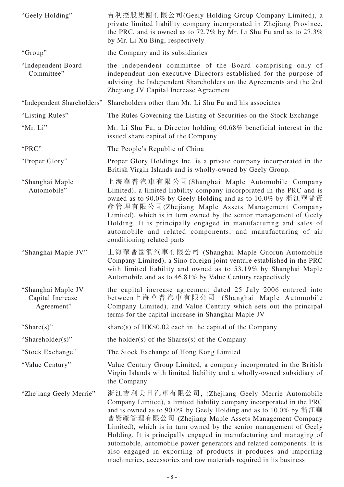| "Geely Holding"                                      | 吉利控股集團有限公司(Geely Holding Group Company Limited), a<br>private limited liability company incorporated in Zhejiang Province,<br>the PRC, and is owned as to 72.7% by Mr. Li Shu Fu and as to 27.3%<br>by Mr. Li Xu Bing, respectively                                                                                                                                                                                                                                                                                                                                                                                 |
|------------------------------------------------------|---------------------------------------------------------------------------------------------------------------------------------------------------------------------------------------------------------------------------------------------------------------------------------------------------------------------------------------------------------------------------------------------------------------------------------------------------------------------------------------------------------------------------------------------------------------------------------------------------------------------|
| "Group"                                              | the Company and its subsidiaries                                                                                                                                                                                                                                                                                                                                                                                                                                                                                                                                                                                    |
| "Independent Board<br>Committee"                     | the independent committee of the Board comprising only of<br>independent non-executive Directors established for the purpose of<br>advising the Independent Shareholders on the Agreements and the 2nd<br>Zhejiang JV Capital Increase Agreement                                                                                                                                                                                                                                                                                                                                                                    |
| "Independent Shareholders"                           | Shareholders other than Mr. Li Shu Fu and his associates                                                                                                                                                                                                                                                                                                                                                                                                                                                                                                                                                            |
| "Listing Rules"                                      | The Rules Governing the Listing of Securities on the Stock Exchange                                                                                                                                                                                                                                                                                                                                                                                                                                                                                                                                                 |
| "Mr. Li"                                             | Mr. Li Shu Fu, a Director holding 60.68% beneficial interest in the<br>issued share capital of the Company                                                                                                                                                                                                                                                                                                                                                                                                                                                                                                          |
| "PRC"                                                | The People's Republic of China                                                                                                                                                                                                                                                                                                                                                                                                                                                                                                                                                                                      |
| "Proper Glory"                                       | Proper Glory Holdings Inc. is a private company incorporated in the<br>British Virgin Islands and is wholly-owned by Geely Group.                                                                                                                                                                                                                                                                                                                                                                                                                                                                                   |
| "Shanghai Maple<br>Automobile"                       | 上海華普汽車有限公司(Shanghai Maple Automobile Company<br>Limited), a limited liability company incorporated in the PRC and is<br>owned as to 90.0% by Geely Holding and as to 10.0% by 浙江華普資<br>產管理有限公司(Zhejiang Maple Assets Management Company<br>Limited), which is in turn owned by the senior management of Geely<br>Holding. It is principally engaged in manufacturing and sales of<br>automobile and related components, and manufacturing of air<br>conditioning related parts                                                                                                                                      |
| "Shanghai Maple JV"                                  | 上海華普國潤汽車有限公司 (Shanghai Maple Guorun Automobile<br>Company Limited), a Sino-foreign joint venture established in the PRC<br>with limited liability and owned as to 53.19% by Shanghai Maple<br>Automobile and as to 46.81% by Value Century respectively                                                                                                                                                                                                                                                                                                                                                             |
| "Shanghai Maple JV<br>Capital Increase<br>Agreement" | the capital increase agreement dated 25 July 2006 entered into<br>between上海華普汽車有限公司 (Shanghai Maple Automobile<br>Company Limited), and Value Century which sets out the principal<br>terms for the capital increase in Shanghai Maple JV                                                                                                                                                                                                                                                                                                                                                                           |
| "Share $(s)$ "                                       | share(s) of HK\$0.02 each in the capital of the Company                                                                                                                                                                                                                                                                                                                                                                                                                                                                                                                                                             |
| "Shareholder(s)"                                     | the holder(s) of the Shares(s) of the Company                                                                                                                                                                                                                                                                                                                                                                                                                                                                                                                                                                       |
| "Stock Exchange"                                     | The Stock Exchange of Hong Kong Limited                                                                                                                                                                                                                                                                                                                                                                                                                                                                                                                                                                             |
| "Value Century"                                      | Value Century Group Limited, a company incorporated in the British<br>Virgin Islands with limited liability and a wholly-owned subsidiary of<br>the Company                                                                                                                                                                                                                                                                                                                                                                                                                                                         |
| "Zhejiang Geely Merrie"                              | 浙江吉利美日汽車有限公司, (Zhejiang Geely Merrie Automobile<br>Company Limited), a limited liability company incorporated in the PRC<br>and is owned as to 90.0% by Geely Holding and as to 10.0% by 浙江華<br>普資產管理有限公司 (Zhejiang Maple Assets Management Company<br>Limited), which is in turn owned by the senior management of Geely<br>Holding. It is principally engaged in manufacturing and managing of<br>automobile, automobile power generators and related components. It is<br>also engaged in exporting of products it produces and importing<br>machineries, accessories and raw materials required in its business |